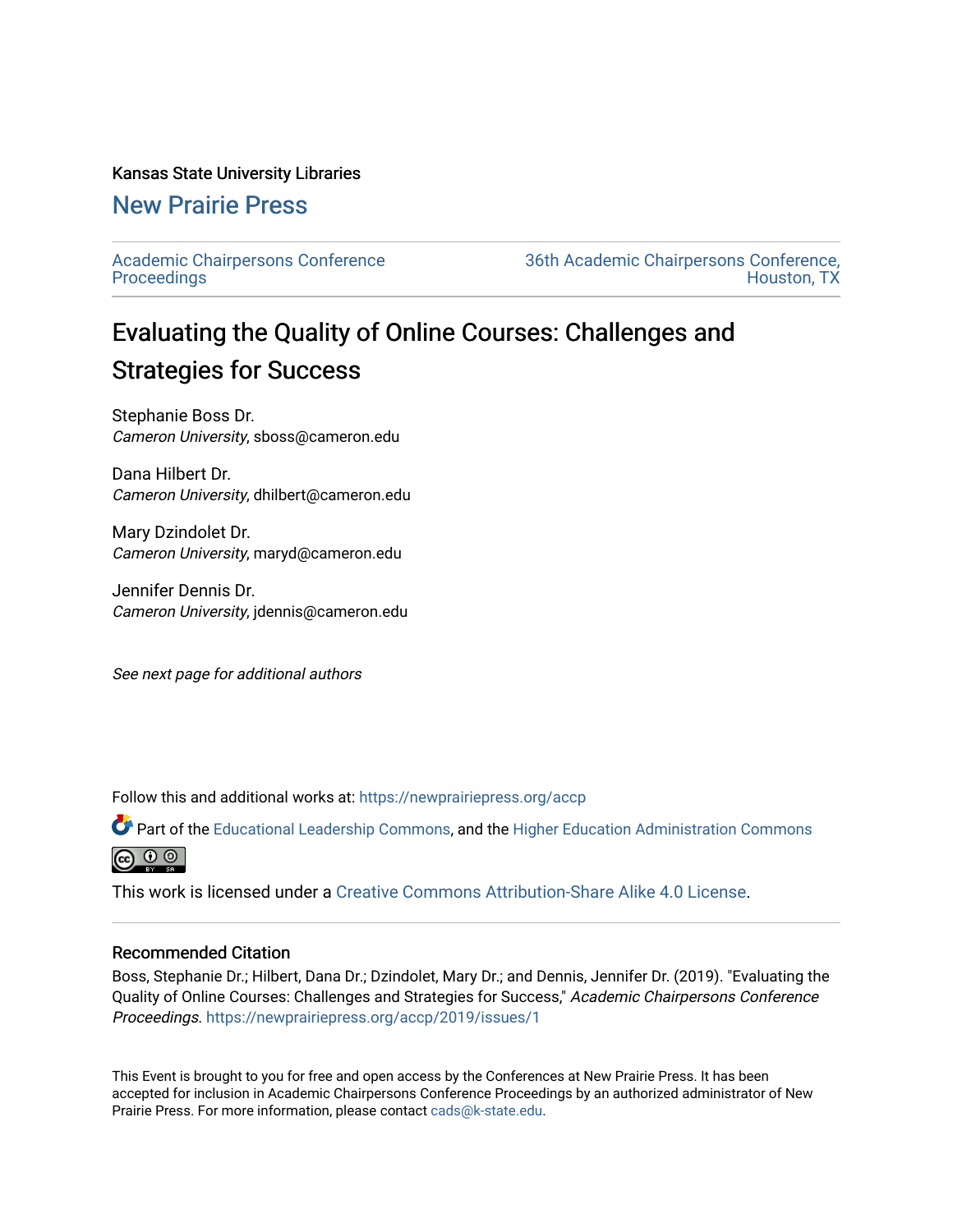#### Kansas State University Libraries

## [New Prairie Press](https://newprairiepress.org/)

[Academic Chairpersons Conference](https://newprairiepress.org/accp)  **Proceedings** 

[36th Academic Chairpersons Conference,](https://newprairiepress.org/accp/2019)  [Houston, TX](https://newprairiepress.org/accp/2019) 

# Evaluating the Quality of Online Courses: Challenges and Strategies for Success

Stephanie Boss Dr. Cameron University, sboss@cameron.edu

Dana Hilbert Dr. Cameron University, dhilbert@cameron.edu

Mary Dzindolet Dr. Cameron University, maryd@cameron.edu

Jennifer Dennis Dr. Cameron University, jdennis@cameron.edu

See next page for additional authors

Follow this and additional works at: [https://newprairiepress.org/accp](https://newprairiepress.org/accp?utm_source=newprairiepress.org%2Faccp%2F2019%2Fissues%2F1&utm_medium=PDF&utm_campaign=PDFCoverPages) 

Part of the [Educational Leadership Commons,](http://network.bepress.com/hgg/discipline/1230?utm_source=newprairiepress.org%2Faccp%2F2019%2Fissues%2F1&utm_medium=PDF&utm_campaign=PDFCoverPages) and the [Higher Education Administration Commons](http://network.bepress.com/hgg/discipline/791?utm_source=newprairiepress.org%2Faccp%2F2019%2Fissues%2F1&utm_medium=PDF&utm_campaign=PDFCoverPages) ெ 0 ©

This work is licensed under a [Creative Commons Attribution-Share Alike 4.0 License.](https://creativecommons.org/licenses/by-sa/4.0/)

#### Recommended Citation

Boss, Stephanie Dr.; Hilbert, Dana Dr.; Dzindolet, Mary Dr.; and Dennis, Jennifer Dr. (2019). "Evaluating the Quality of Online Courses: Challenges and Strategies for Success," Academic Chairpersons Conference Proceedings. <https://newprairiepress.org/accp/2019/issues/1>

This Event is brought to you for free and open access by the Conferences at New Prairie Press. It has been accepted for inclusion in Academic Chairpersons Conference Proceedings by an authorized administrator of New Prairie Press. For more information, please contact [cads@k-state.edu.](mailto:cads@k-state.edu)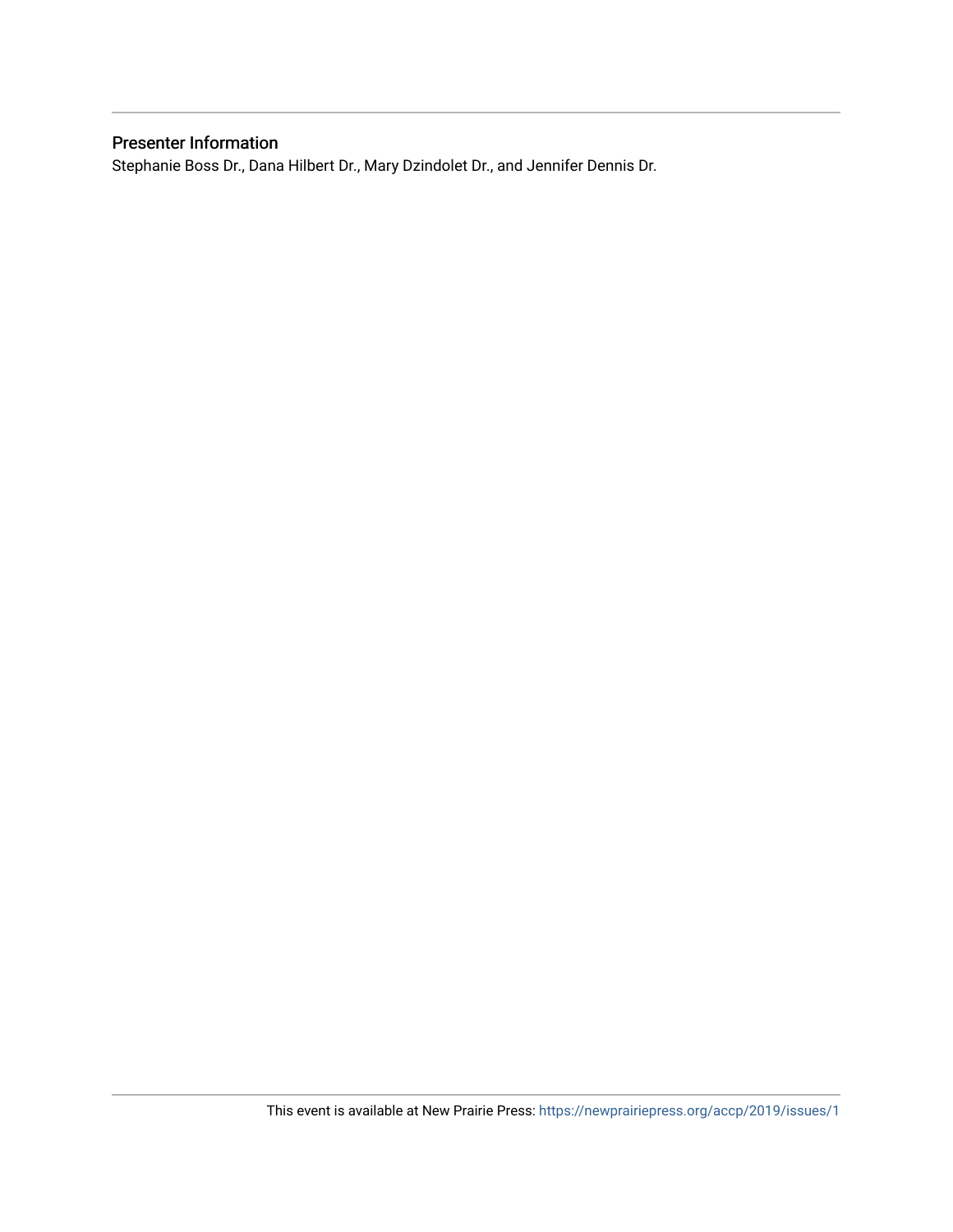## Presenter Information

Stephanie Boss Dr., Dana Hilbert Dr., Mary Dzindolet Dr., and Jennifer Dennis Dr.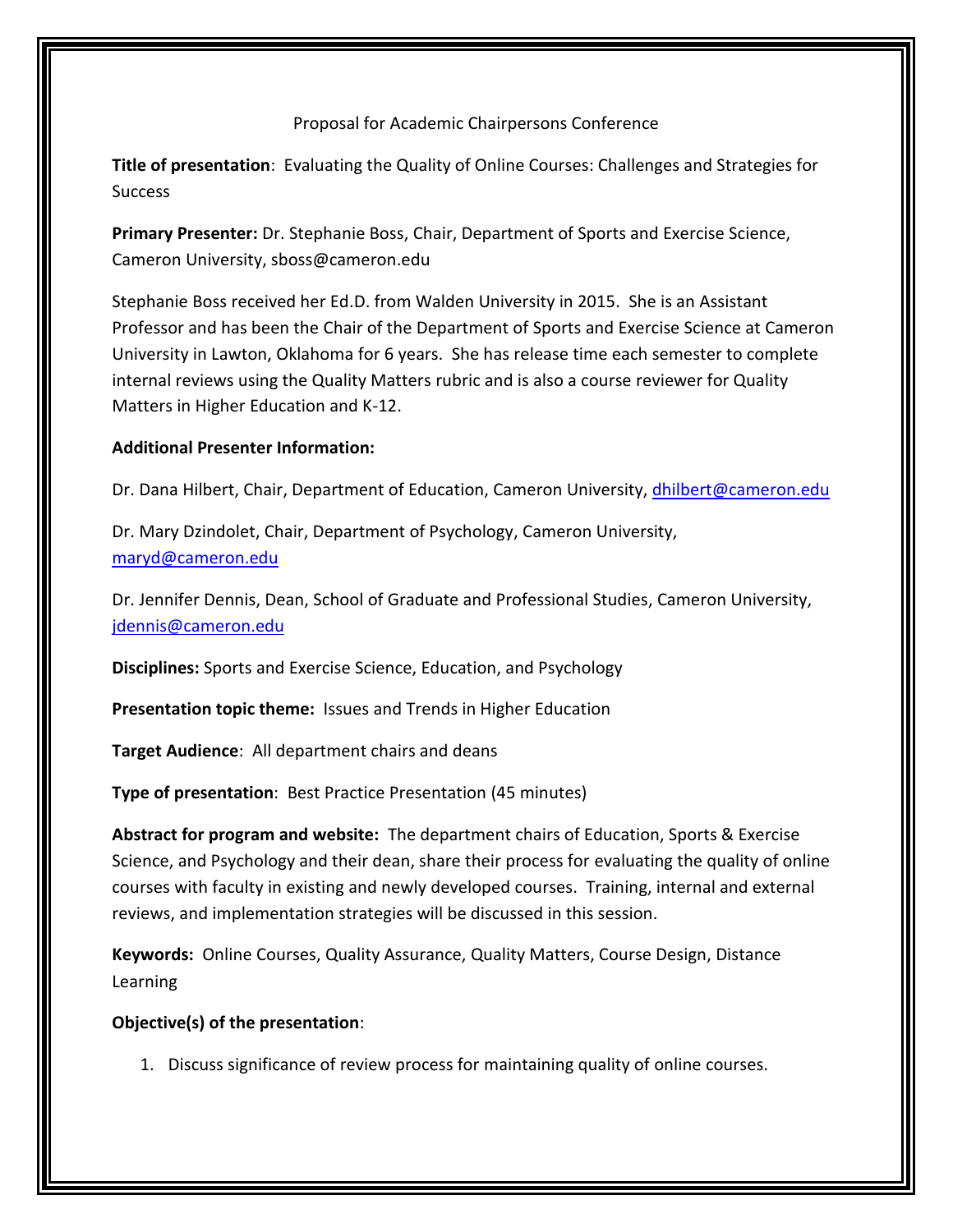Proposal for Academic Chairpersons Conference

**Title of presentation**: Evaluating the Quality of Online Courses: Challenges and Strategies for **Success** 

**Primary Presenter:** Dr. Stephanie Boss, Chair, Department of Sports and Exercise Science, Cameron University, sboss@cameron.edu

Stephanie Boss received her Ed.D. from Walden University in 2015. She is an Assistant Professor and has been the Chair of the Department of Sports and Exercise Science at Cameron University in Lawton, Oklahoma for 6 years. She has release time each semester to complete internal reviews using the Quality Matters rubric and is also a course reviewer for Quality Matters in Higher Education and K-12.

#### **Additional Presenter Information:**

Dr. Dana Hilbert, Chair, Department of Education, Cameron University, [dhilbert@cameron.edu](mailto:dhilbert@cameron.edu)

Dr. Mary Dzindolet, Chair, Department of Psychology, Cameron University, [maryd@cameron.edu](mailto:maryd@cameron.edu)

Dr. Jennifer Dennis, Dean, School of Graduate and Professional Studies, Cameron University, [jdennis@cameron.edu](mailto:jdennis@cameron.edu)

**Disciplines:** Sports and Exercise Science, Education, and Psychology

**Presentation topic theme:** Issues and Trends in Higher Education

**Target Audience**: All department chairs and deans

**Type of presentation**: Best Practice Presentation (45 minutes)

**Abstract for program and website:** The department chairs of Education, Sports & Exercise Science, and Psychology and their dean, share their process for evaluating the quality of online courses with faculty in existing and newly developed courses. Training, internal and external reviews, and implementation strategies will be discussed in this session.

**Keywords:** Online Courses, Quality Assurance, Quality Matters, Course Design, Distance Learning

### **Objective(s) of the presentation**:

1. Discuss significance of review process for maintaining quality of online courses.